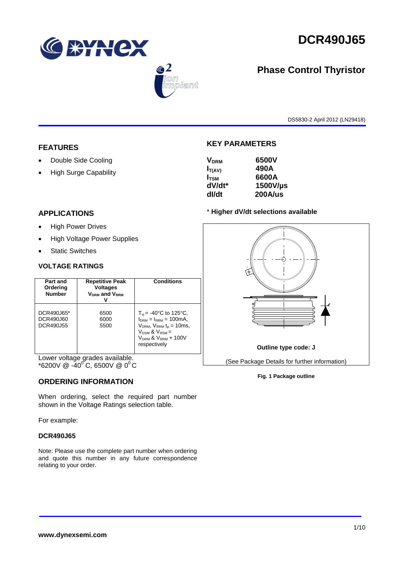





# **Phase Control Thyristor**

DS5830-2 April 2012 (LN29418)

## **FEATURES**

- Double Side Cooling
- High Surge Capability

## **KEY PARAMETERS**

| <b>V<sub>DRM</sub></b> | 6500V    |
|------------------------|----------|
| $I_{T(AV)}$            | 490A     |
| $I_{\rm TSM}$          | 6600A    |
| dV/dt*                 | 1500V/µs |
| dl/dt                  | 200A/us  |
|                        |          |

## **APPLICATIONS**

- High Power Drives
- High Voltage Power Supplies
- Static Switches

### **VOLTAGE RATINGS**

| Part and<br>Ordering<br><b>Number</b> | <b>Repetitive Peak</b><br><b>Voltages</b><br><b>VDRM</b> and VRRM | <b>Conditions</b>                                                                                                                                                                         |
|---------------------------------------|-------------------------------------------------------------------|-------------------------------------------------------------------------------------------------------------------------------------------------------------------------------------------|
| DCR490J65*<br>DCR490J60<br>DCR490J55  | 6500<br>6000<br>5500                                              | $T_{\rm vi}$ = -40°C to 125°C,<br>$I_{DRM} = I_{RRM} = 100 \text{mA}$<br>$V_{DRM}$ , $V_{RRM}$ $t_{p}$ = 10ms,<br>$V_{DSM}$ & $V_{RSM}$ =<br>$V_{DRM}$ & $V_{RRM}$ + 100V<br>respectively |

Lower voltage grades available.  $*$ 6200V @ -40 $^{\circ}$ C, 6500V @ 0 $^{\circ}$ C

### **ORDERING INFORMATION**

When ordering, select the required part number shown in the Voltage Ratings selection table.

For example:

### **DCR490J65**

Note: Please use the complete part number when ordering and quote this number in any future correspondence relating to your order.



**Fig. 1 Package outline**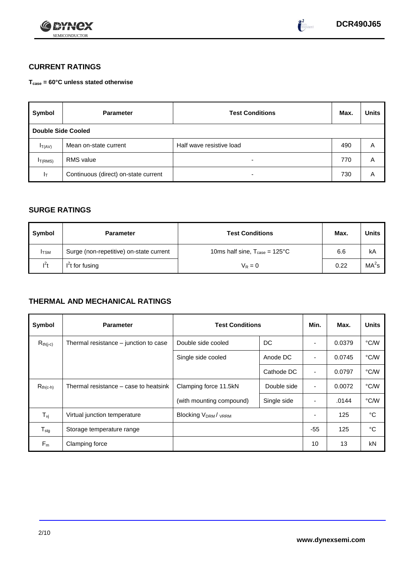



 $\bullet^2$ 

# **CURRENT RATINGS**

**Tcase = 60°C unless stated otherwise**

| Symbol                    | <b>Parameter</b>                     | <b>Test Conditions</b>   |     | <b>Units</b> |
|---------------------------|--------------------------------------|--------------------------|-----|--------------|
| <b>Double Side Cooled</b> |                                      |                          |     |              |
| $I_{T(AV)}$               | Mean on-state current                | Half wave resistive load |     | Α            |
| I <sub>T(RMS)</sub>       | <b>RMS</b> value                     | $\overline{\phantom{0}}$ | 770 | A            |
| 1 <sub>T</sub>            | Continuous (direct) on-state current | $\overline{\phantom{a}}$ | 730 | Α            |

## **SURGE RATINGS**

| Symbol       | <b>Parameter</b>                        | <b>Test Conditions</b>                           | Max. | Units             |
|--------------|-----------------------------------------|--------------------------------------------------|------|-------------------|
| <b>I</b> TSM | Surge (non-repetitive) on-state current | 10ms half sine, $T_{\text{case}} = 125^{\circ}C$ | 6.6  | kA                |
| $I^2t$       | $I2t$ for fusing                        | $V_R = 0$                                        | 0.22 | MA <sup>2</sup> s |

# **THERMAL AND MECHANICAL RATINGS**

| Symbol                         | <b>Parameter</b>                      | <b>Test Conditions</b>               |             |                | Max.   | <b>Units</b> |
|--------------------------------|---------------------------------------|--------------------------------------|-------------|----------------|--------|--------------|
| $R_{th(j-c)}$                  | Thermal resistance – junction to case | DC<br>Double side cooled             |             |                | 0.0379 | °C/W         |
|                                |                                       | Single side cooled                   | Anode DC    |                | 0.0745 | °C/W         |
|                                |                                       |                                      | Cathode DC  | $\blacksquare$ | 0.0797 | °C/W         |
| $R_{th(c-h)}$                  | Thermal resistance – case to heatsink | Clamping force 11.5kN<br>Double side |             | $\blacksquare$ | 0.0072 | °C/W         |
|                                |                                       | (with mounting compound)             | Single side | ۰              | .0144  | °C/W         |
| $T_{\rm\scriptscriptstyle VI}$ | Virtual junction temperature          | <b>Blocking VDRM/VRRM</b>            |             |                | 125    | °C           |
| ${\mathsf T}_{\text{stg}}$     | Storage temperature range             |                                      |             | $-55$          | 125    | °C           |
| $F_m$                          | Clamping force                        |                                      |             | 10             | 13     | kN           |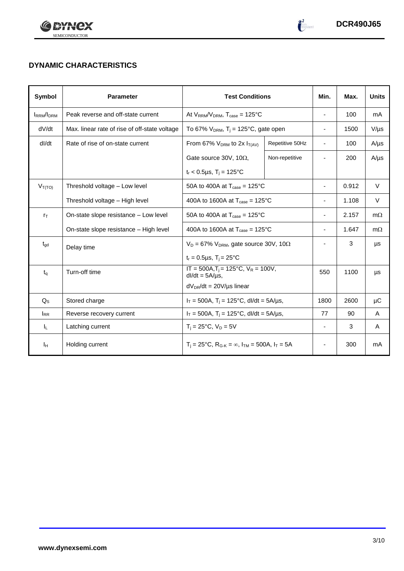



 $\begin{pmatrix} 2 \\ 1 \end{pmatrix}$ 

# **DYNAMIC CHARACTERISTICS**

| <b>Symbol</b>    | <b>Parameter</b>                              | <b>Test Conditions</b>                                                  | Min.                     | Max.                     | <b>Units</b> |           |
|------------------|-----------------------------------------------|-------------------------------------------------------------------------|--------------------------|--------------------------|--------------|-----------|
| <b>IRRM/IDRM</b> | Peak reverse and off-state current            | At $V_{RRM}/V_{DRM}$ , $T_{case} = 125^{\circ}C$                        | $\overline{\phantom{a}}$ | 100                      | mA           |           |
| dV/dt            | Max. linear rate of rise of off-state voltage | To 67% $V_{DRM}$ , T <sub>j</sub> = 125°C, gate open                    |                          | $\overline{\phantom{a}}$ | 1500         | $V/\mu s$ |
| dl/dt            | Rate of rise of on-state current              | From 67% $V_{DRM}$ to 2x $I_{T(AV)}$                                    | Repetitive 50Hz          | $\blacksquare$           | 100          | $A/\mu s$ |
|                  |                                               | Gate source 30V, 10 $\Omega$ ,                                          | Non-repetitive           |                          | 200          | $A/\mu s$ |
|                  |                                               | $t_r < 0.5 \mu s$ , $T_i = 125^{\circ}C$                                |                          |                          |              |           |
| $V_{T(TO)}$      | Threshold voltage - Low level                 | 50A to 400A at $T_{\text{case}} = 125^{\circ}$ C                        |                          | $\overline{\phantom{a}}$ | 0.912        | $\vee$    |
|                  | Threshold voltage - High level                | 400A to 1600A at $T_{\text{case}} = 125^{\circ}$ C                      | $\overline{\phantom{a}}$ | 1.108                    | $\vee$       |           |
| $r_{\text{T}}$   | On-state slope resistance - Low level         | 50A to 400A at $T_{\text{case}} = 125^{\circ}$ C                        |                          |                          | 2.157        | $m\Omega$ |
|                  | On-state slope resistance - High level        | 400A to 1600A at $T_{\text{case}} = 125^{\circ}$ C                      |                          |                          | 1.647        | $m\Omega$ |
| $t_{\text{gd}}$  | Delay time                                    | $V_D = 67\%$ V <sub>DRM</sub> , gate source 30V, 10 $\Omega$            |                          | $\overline{\phantom{a}}$ | 3            | μs        |
|                  |                                               | $t_r = 0.5 \mu s$ , $T_i = 25^{\circ}C$                                 |                          |                          |              |           |
| $t_q$            | Turn-off time                                 | $IT = 500A, T_i = 125^{\circ}C, V_R = 100V,$<br>$dI/dt = 5A/\mu s$ ,    |                          | 550                      | 1100         | μs        |
|                  |                                               | $dV_{DR}/dt = 20V/\mu s$ linear                                         |                          |                          |              |           |
| $Q_{\rm S}$      | Stored charge                                 | $I_T = 500A$ , $T_i = 125^{\circ}C$ , dl/dt = 5A/µs,                    | 1800                     | 2600                     | μC           |           |
| <b>IRR</b>       | Reverse recovery current                      | $I_T = 500A$ , $T_i = 125^{\circ}C$ , dl/dt = 5A/µs,                    |                          |                          | 90           | A         |
| ΙL.              | Latching current                              | $T_i = 25^{\circ}C$ , $V_D = 5V$                                        |                          | $\overline{\phantom{a}}$ | 3            | A         |
| Iн               | Holding current                               | $T_i = 25^{\circ}C$ , $R_{G-K} = \infty$ , $I_{TM} = 500A$ , $I_T = 5A$ |                          |                          | 300          | mA        |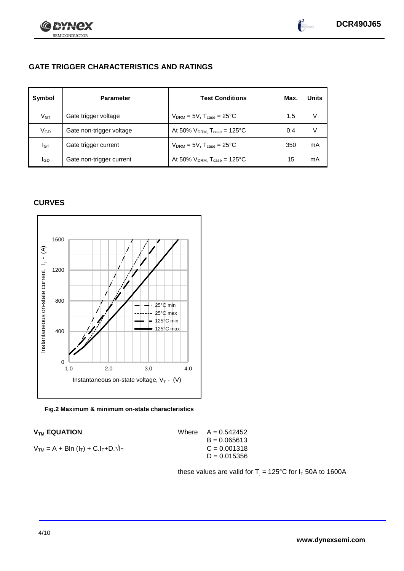

 $\int_{0}^{2}$ 

# **GATE TRIGGER CHARACTERISTICS AND RATINGS**

| Symbol          | <b>Parameter</b>         | <b>Test Conditions</b>                       | Max. | <b>Units</b> |
|-----------------|--------------------------|----------------------------------------------|------|--------------|
| V <sub>GT</sub> | Gate trigger voltage     | $V_{DRM}$ = 5V, $T_{case}$ = 25°C            | 1.5  |              |
| $V_{GD}$        | Gate non-trigger voltage | At 50% $V_{DRM}$ , $T_{case} = 125^{\circ}C$ | 0.4  |              |
| Iст             | Gate trigger current     | $V_{DRM} = 5V$ , $T_{case} = 25^{\circ}C$    | 350  | mA           |
| lgp             | Gate non-trigger current | At 50% $V_{DRM}$ , $T_{case} = 125^{\circ}C$ | 15   | mA           |

### **CURVES**



**Fig.2 Maximum & minimum on-state characteristics**

| <b>V<sub>TM</sub> EQUATION</b>                  | Where $A = 0.542452$ |
|-------------------------------------------------|----------------------|
|                                                 | $B = 0.065613$       |
| $V_{TM} = A + Bln (I_T) + C.I_T + D.\sqrt{I_T}$ | $C = 0.001318$       |
|                                                 | $D = 0.015356$       |
|                                                 |                      |

these values are valid for  $T_i = 125^{\circ}$ C for  $I_T$  50A to 1600A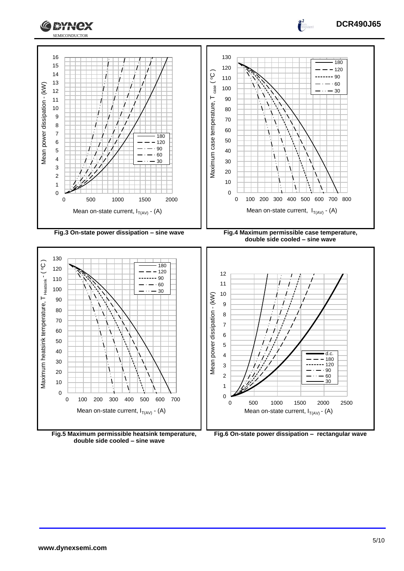



**Fig.5 Maximum permissible heatsink temperature, double side cooled – sine wave**

**Fig.6 On-state power dissipation – rectangular wave**

**DCR490J65**

 $\frac{2}{1}$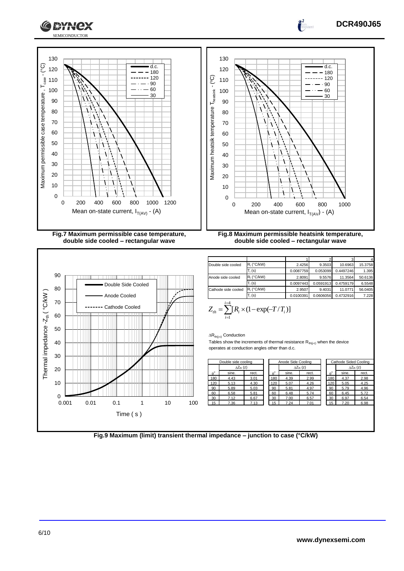



1 2 3 4 Double side cooled  $\frac{R_1(^{\circ}C/kW)}{T_1(s)}$  2.4256 9.3503 10.6963 15.3758<br>0.0087759 0.053099 0.4497246 1.398 0.0087759 0.053099 0.4497246 1.39 Anode side cooled R<sub>i</sub> (°C/kW) 2.8091 9.5576 11.3564 50.6136 Ti (s) 0.0097443 0.0591913 0.4759179 6.5548 Cathode side cooled  $R_i$  (°C/kW) 2.9507 9.4031 11.0771 56.0405 Ti (s) 0.0100391 0.0606056 0.4732916 7.228

$$
Z_{th} = \sum_{i=1}^{i=4} [R_i \times (1 - \exp(-T/T_i))]
$$

 $\Delta R_{th(j-c)}$  Conduction

Tables show the increments of thermal resistance  $R_{th(j-c)}$  when the device operates at conduction angles other than d.c.

|     | Double side cooling |                           |       |  |                  | Anode Side Cooling        |       | Cathode Sided Cooling |       |                           |  |
|-----|---------------------|---------------------------|-------|--|------------------|---------------------------|-------|-----------------------|-------|---------------------------|--|
| ___ |                     | $\Delta Z_{\text{th}}(z)$ |       |  |                  | $\Delta Z_{\text{th}}(z)$ |       |                       |       | $\Delta Z_{\text{th}}(z)$ |  |
|     | $\theta^{\circ}$    | sine.                     | rect. |  | $\theta^{\circ}$ | sine.                     | rect. | $\theta^{\circ}$      | sine. | rect.                     |  |
|     | 180                 | 4.43                      | 3.01  |  | 180              | 4.39                      | 2.99  | 180                   | 4.37  | 2.98                      |  |
|     | 120                 | 5.13                      | 4.30  |  | 120              | 5.07                      | 4.26  | 120                   | 5.05  | 4.25                      |  |
|     | 90                  | 5.89                      | 5.03  |  | 90               | 5.81                      | 4.97  | 90                    | 5.79  | 4.96                      |  |
|     | 60                  | 6.58                      | 5.81  |  | 60               | 6.48                      | 5.74  | 60                    | 6.45  | 5.72                      |  |
|     | 30                  | 7.12                      | 6.67  |  | 30               | 7.00                      | 6.57  | 30                    | 6.97  | 6.54                      |  |
| 100 | 15                  | 7.36                      | 7.13  |  | 15               | 7.24                      | 7.01  | 15                    | 7.20  | 6.98                      |  |
|     |                     |                           |       |  |                  |                           |       |                       |       |                           |  |
|     |                     |                           |       |  |                  |                           |       |                       |       |                           |  |
|     |                     |                           |       |  |                  |                           |       |                       |       |                           |  |

**Fig.9 Maximum (limit) transient thermal impedance – junction to case (°C/kW)**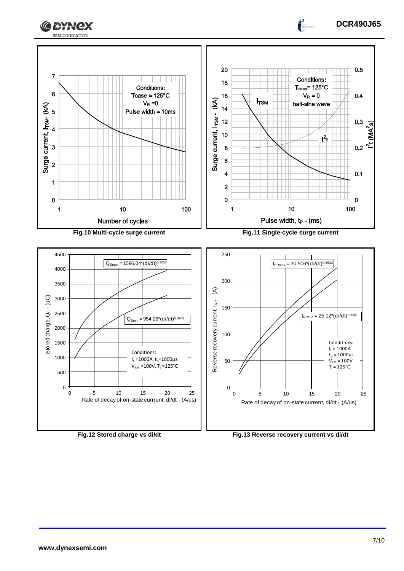



 $\frac{2}{1}$ 

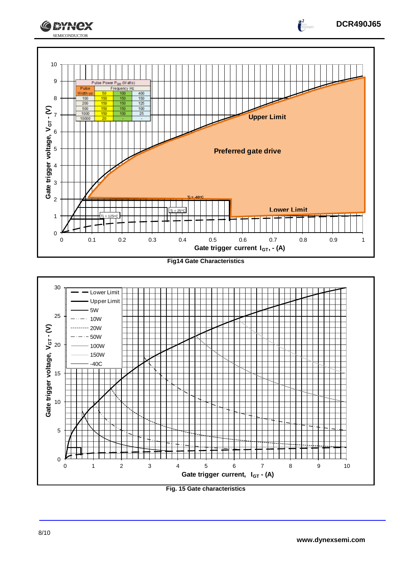



## **Fig. 15 Gate characteristics**



 $\frac{1}{2}$ 



SEMICONDUCTOR

**CEYNEX** 

10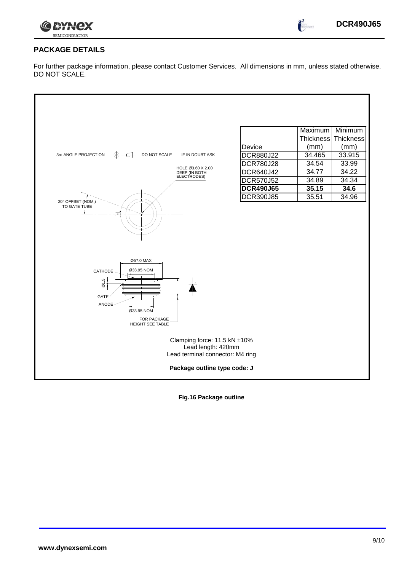

 $\frac{1}{2}$ 

### **PACKAGE DETAILS**

For further package information, please contact Customer Services. All dimensions in mm, unless stated otherwise. DO NOT SCALE.



**Fig.16 Package outline**